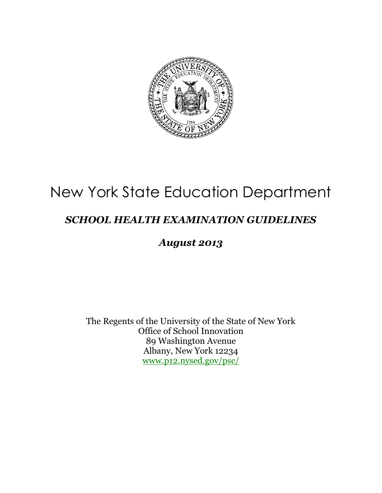

# New York State Education Department

### *SCHOOL HEALTH EXAMINATION GUIDELINES*

### *August 2013*

The Regents of the University of the State of New York Office of School Innovation 89 Washington Avenue Albany, New York 12234 [www.p12.nysed.gov/psc/](http://www.p12.nysed.gov/psc/)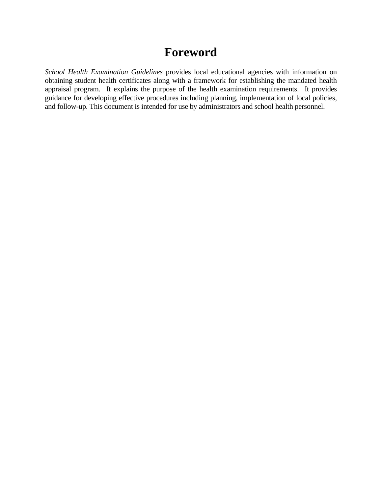### **Foreword**

*School Health Examination Guidelines* provides local educational agencies with information on obtaining student health certificates along with a framework for establishing the mandated health appraisal program. It explains the purpose of the health examination requirements. It provides guidance for developing effective procedures including planning, implementation of local policies, and follow-up. This document is intended for use by administrators and school health personnel.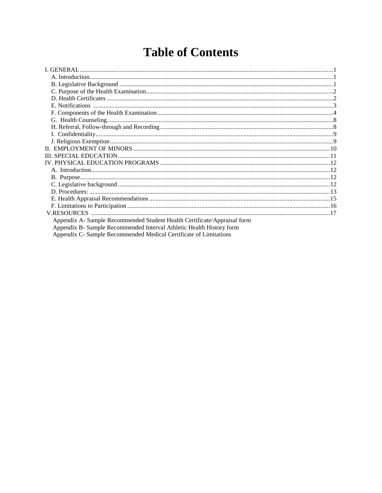# **Table of Contents**

| Appendix A- Sample Recommended Student Health Certificate/Appraisal form |  |
|--------------------------------------------------------------------------|--|
| Appendix B- Sample Recommended Interval Athletic Health History form     |  |
| Appendix C- Sample Recommended Medical Certificate of Limitations        |  |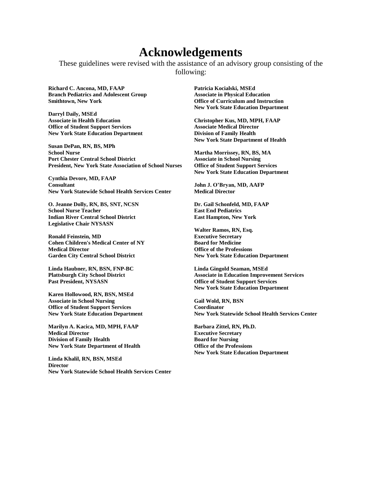### **Acknowledgements**

These guidelines were revised with the assistance of an advisory group consisting of the following:

**Richard C. Ancona, MD, FAAP Branch Pediatrics and Adolescent Group Smithtown, New York**

**Darryl Daily, MSEd Associate in Health Education Office of Student Support Services New York State Education Department**

**Susan DePan, RN, BS, MPh School Nurse Port Chester Central School District President, New York State Association of School Nurses**

**Cynthia Devore, MD, FAAP Consultant New York Statewide School Health Services Center**

**O. Jeanne Dolly, RN, BS, SNT, NCSN School Nurse Teacher Indian River Central School District Legislative Chair NYSASN**

**Ronald Feinstein, MD Cohen Children's Medical Center of NY Medical Director Garden City Central School District**

**Linda Haubner, RN, BSN, FNP-BC Plattsburgh City School District Past President, NYSASN**

**Karen Hollowood, RN, BSN, MSEd Associate in School Nursing Office of Student Support Services New York State Education Department**

**Marilyn A. Kacica, MD, MPH, FAAP Medical Director Division of Family Health New York State Department of Health**

**Linda Khalil, RN, BSN, MSEd Director New York Statewide School Health Services Center**

**Patricia Kocialski, MSEd Associate in Physical Education Office of Curriculum and Instruction New York State Education Department**

**Christopher Kus, MD, MPH, FAAP Associate Medical Director Division of Family Health New York State Department of Health**

**Martha Morrissey, RN, BS, MA Associate in School Nursing Office of Student Support Services New York State Education Department**

**John J. O'Bryan, MD, AAFP Medical Director**

**Dr. Gail Schonfeld, MD, FAAP East End Pediatrics East Hampton, New York**

**Walter Ramos, RN, Esq. Executive Secretary Board for Medicine Office of the Professions New York State Education Department**

**Linda Gingold Seaman, MSEd Associate in Education Improvement Services Office of Student Support Services New York State Education Department**

**Gail Wold, RN, BSN Coordinator New York Statewide School Health Services Center**

**Barbara Zittel, RN, Ph.D. Executive Secretary Board for Nursing Office of the Professions New York State Education Department**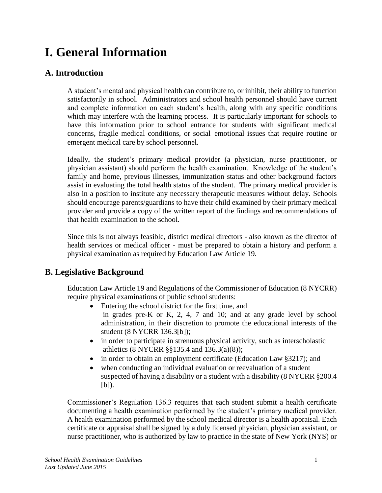# **I. General Information**

### **A. Introduction**

A student's mental and physical health can contribute to, or inhibit, their ability to function satisfactorily in school. Administrators and school health personnel should have current and complete information on each student's health, along with any specific conditions which may interfere with the learning process. It is particularly important for schools to have this information prior to school entrance for students with significant medical concerns, fragile medical conditions, or social–emotional issues that require routine or emergent medical care by school personnel.

Ideally, the student's primary medical provider (a physician, nurse practitioner, or physician assistant) should perform the health examination. Knowledge of the student's family and home, previous illnesses, immunization status and other background factors assist in evaluating the total health status of the student. The primary medical provider is also in a position to institute any necessary therapeutic measures without delay. Schools should encourage parents/guardians to have their child examined by their primary medical provider and provide a copy of the written report of the findings and recommendations of that health examination to the school.

Since this is not always feasible, district medical directors - also known as the director of health services or medical officer - must be prepared to obtain a history and perform a physical examination as required by Education Law Article 19.

### **B. Legislative Background**

Education Law Article 19 and Regulations of the Commissioner of Education (8 NYCRR) require physical examinations of public school students:

- Entering the school district for the first time, and in grades pre-K or K, 2, 4, 7 and 10; and at any grade level by school administration, in their discretion to promote the educational interests of the student (8 NYCRR 136.3[b]);
- in order to participate in strenuous physical activity, such as interscholastic athletics (8 NYCRR §§135.4 and 136.3(a)(8));
- in order to obtain an employment certificate (Education Law §3217); and
- when conducting an individual evaluation or reevaluation of a student suspected of having a disability or a student with a disability (8 NYCRR §200.4  $[b]$ ).

Commissioner's Regulation 136.3 requires that each student submit a health certificate documenting a health examination performed by the student's primary medical provider. A health examination performed by the school medical director is a health appraisal. Each certificate or appraisal shall be signed by a duly licensed physician, physician assistant, or nurse practitioner, who is authorized by law to practice in the state of New York (NYS) or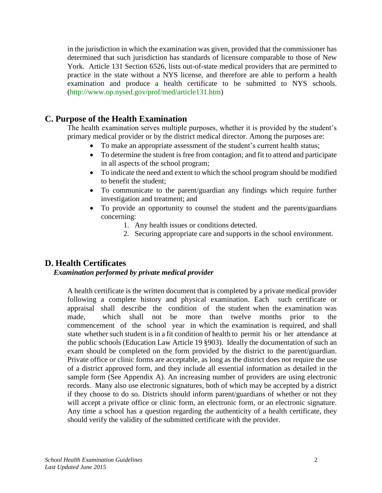in the jurisdiction in which the examination was given, provided that the commissioner has determined that such jurisdiction has standards of licensure comparable to those of New York. Article 131 Section 6526, lists out-of-state medical providers that are permitted to practice in the state without a NYS license, and therefore are able to perform a health examination and produce a health certificate to be submitted to NYS schools. [\(http://www.op.nysed.gov/prof/med/article131.htm\)](http://www.op.nysed.gov/prof/med/article131.htm)

### **C. Purpose of the Health Examination**

The health examination serves multiple purposes, whether it is provided by the student's primary medical provider or by the district medical director. Among the purposes are:

- To make an appropriate assessment of the student's current health status;
- To determine the student is free from contagion; and fit to attend and participate in all aspects of the school program;
- To indicate the need and extent to which the school program should be modified to benefit the student;
- To communicate to the parent/guardian any findings which require further investigation and treatment; and
- To provide an opportunity to counsel the student and the parents/guardians concerning:
	- 1. Any health issues or conditions detected.
	- 2. Securing appropriate care and supports in the school environment.

### **D. Health Certificates**

#### *Examination performed by private medical provider*

A health certificate is the written document that is completed by a private medical provider following a complete history and physical examination. Each such certificate or appraisal shall describe the condition of the student when the examination was made, which shall not be more than twelve months prior to the commencement of the school year in which the examination is required, and shall state whether such student is in a fit condition of health to permit his or her attendance at the public schools (Education Law Article 19 §903). Ideally the documentation of such an exam should be completed on the form provided by the district to the parent/guardian. Private office or clinic forms are acceptable, as long as the district does not require the use of a district approved form, and they include all essential information as detailed in the sample form (See Appendix A). An increasing number of providers are using electronic records. Many also use electronic signatures, both of which may be accepted by a district if they choose to do so. Districts should inform parent/guardians of whether or not they will accept a private office or clinic form, an electronic form, or an electronic signature. Any time a school has a question regarding the authenticity of a health certificate, they should verify the validity of the submitted certificate with the provider.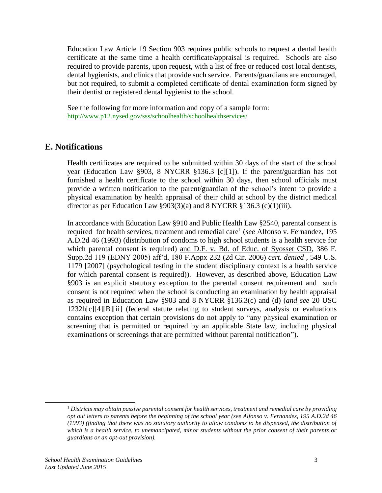Education Law Article 19 Section 903 requires public schools to request a dental health certificate at the same time a health certificate/appraisal is required. Schools are also required to provide parents, upon request, with a list of free or reduced cost local dentists, dental hygienists, and clinics that provide such service. Parents/guardians are encouraged, but not required, to submit a completed certificate of dental examination form signed by their dentist or registered dental hygienist to the school.

See the following for more information and copy of a sample form: <http://www.p12.nysed.gov/sss/schoolhealth/schoolhealthservices/>

### **E. Notifications**

Health certificates are required to be submitted within 30 days of the start of the school year (Education Law §903, 8 NYCRR §136.3 [c][1]). If the parent/guardian has not furnished a health certificate to the school within 30 days, then school officials must provide a written notification to the parent/guardian of the school's intent to provide a physical examination by health appraisal of their child at school by the district medical director as per Education Law  $\S 903(3)(a)$  and 8 NYCRR  $\S 136.3$  (c)(1)(iii).

In accordance with Education Law §910 and Public Health Law §2540, parental consent is required for health services, treatment and remedial care<sup>1</sup> (*see* Alfonso v. Fernandez, 195 A.D.2d 46 (1993) (distribution of condoms to high school students is a health service for which parental consent is required) and D.F. v. Bd. of Educ. of Syosset CSD, 386 F. Supp.2d 119 (EDNY 2005) aff'd, 180 F.Appx 232 (2d Cir. 2006) *cert. denied* , 549 U.S. 1179 [2007] (psychological testing in the student disciplinary context is a health service for which parental consent is required)). However, as described above, Education Law §903 is an explicit statutory exception to the parental consent requirement and such consent is not required when the school is conducting an examination by health appraisal as required in Education Law §903 and 8 NYCRR §136.3(c) and (d) (*and see* 20 USC 1232h[c][4][B][ii] (federal statute relating to student surveys, analysis or evaluations contains exception that certain provisions do not apply to "any physical examination or screening that is permitted or required by an applicable State law, including physical examinations or screenings that are permitted without parental notification").

 $\overline{a}$ 

<sup>1</sup> *Districts may obtain passive parental consent for health services, treatment and remedial care by providing opt out letters to parents before the beginning of the school year (see Alfonso v. Fernandez, 195 A.D.2d 46 (1993) (finding that there was no statutory authority to allow condoms to be dispensed, the distribution of which is a health service, to unemancipated, minor students without the prior consent of their parents or guardians or an opt-out provision).*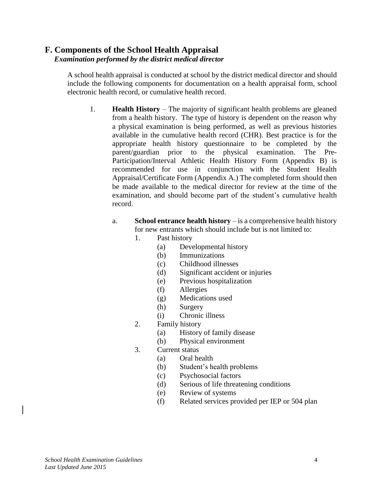#### **F. Components of the School Health Appraisal**  *Examination performed by the district medical director*

 A school health appraisal is conducted at school by the district medical director and should include the following components for documentation on a health appraisal form, school electronic health record, or cumulative health record.

- 1. **Health History** The majority of significant health problems are gleaned from a health history. The type of history is dependent on the reason why a physical examination is being performed, as well as previous histories available in the cumulative health record (CHR). Best practice is for the appropriate health history questionnaire to be completed by the parent/guardian prior to the physical examination. The Pre-Participation/Interval Athletic Health History Form (Appendix B) is recommended for use in conjunction with the Student Health Appraisal/Certificate Form (Appendix A.) The completed form should then be made available to the medical director for review at the time of the examination, and should become part of the student's cumulative health record.
	- a. **School entrance health history** is a comprehensive health history for new entrants which should include but is not limited to:
		- 1. Past history
			- (a) Developmental history
			- (b) Immunizations
			- (c) Childhood illnesses
			- (d) Significant accident or injuries
			- (e) Previous hospitalization
			- (f) Allergies
			- (g) Medications used
			- (h) Surgery
			- (i) Chronic illness
		- 2. Family history
			- (a) History of family disease
			- (b) Physical environment
		- 3. Current status
			- (a) Oral health
			- (b) Student's health problems
			- (c) Psychosocial factors
			- (d) Serious of life threatening conditions
			- (e) Review of systems
			- (f) Related services provided per IEP or 504 plan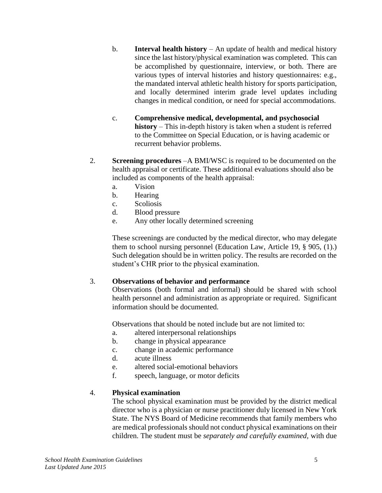- b. **Interval health history** An update of health and medical history since the last history/physical examination was completed. This can be accomplished by questionnaire, interview, or both. There are various types of interval histories and history questionnaires: e.g., the mandated interval athletic health history for sports participation, and locally determined interim grade level updates including changes in medical condition, or need for special accommodations.
- c. **Comprehensive medical, developmental, and psychosocial history** – This in-depth history is taken when a student is referred to the Committee on Special Education, or is having academic or recurrent behavior problems.
- 2. **Screening procedures** –A BMI/WSC is required to be documented on the health appraisal or certificate. These additional evaluations should also be included as components of the health appraisal:
	- a. Vision
	- b. Hearing
	- c. Scoliosis
	- d. Blood pressure
	- e. Any other locally determined screening

These screenings are conducted by the medical director, who may delegate them to school nursing personnel (Education Law, Article 19, § 905, (1).) Such delegation should be in written policy. The results are recorded on the student's CHR prior to the physical examination.

#### 3. **Observations of behavior and performance**

Observations (both formal and informal) should be shared with school health personnel and administration as appropriate or required. Significant information should be documented.

Observations that should be noted include but are not limited to:

- a. altered interpersonal relationships
- b. change in physical appearance
- c. change in academic performance
- d. acute illness
- e. altered social-emotional behaviors
- f. speech, language, or motor deficits

### 4. **Physical examination**

The school physical examination must be provided by the district medical director who is a physician or nurse practitioner duly licensed in New York State. The NYS Board of Medicine recommends that family members who are medical professionals should not conduct physical examinations on their children. The student must be *separately and carefully examined,* with due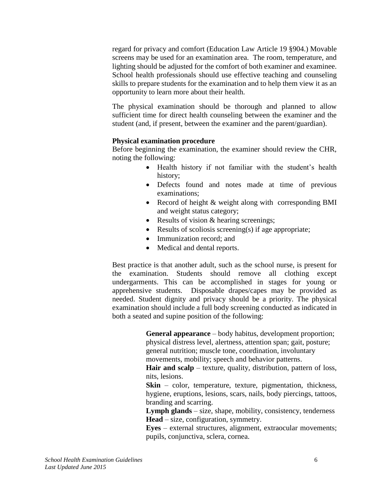regard for privacy and comfort (Education Law Article 19 §904.) Movable screens may be used for an examination area. The room, temperature, and lighting should be adjusted for the comfort of both examiner and examinee. School health professionals should use effective teaching and counseling skills to prepare students for the examination and to help them view it as an opportunity to learn more about their health.

The physical examination should be thorough and planned to allow sufficient time for direct health counseling between the examiner and the student (and, if present, between the examiner and the parent/guardian).

#### **Physical examination procedure**

Before beginning the examination, the examiner should review the CHR, noting the following:

- Health history if not familiar with the student's health history;
- Defects found and notes made at time of previous examinations;
- Record of height & weight along with corresponding BMI and weight status category;
- Results of vision & hearing screenings;
- Results of scoliosis screening(s) if age appropriate;
- Immunization record; and
- Medical and dental reports.

Best practice is that another adult, such as the school nurse, is present for the examination. Students should remove all clothing except undergarments. This can be accomplished in stages for young or apprehensive students. Disposable drapes/capes may be provided as needed. Student dignity and privacy should be a priority. The physical examination should include a full body screening conducted as indicated in both a seated and supine position of the following:

> **General appearance** – body habitus, development proportion; physical distress level, alertness, attention span; gait, posture; general nutrition; muscle tone, coordination, involuntary movements, mobility; speech and behavior patterns.

> Hair and scalp – texture, quality, distribution, pattern of loss, nits, lesions.

> **Skin** – color, temperature, texture, pigmentation, thickness, hygiene, eruptions, lesions, scars, nails, body piercings, tattoos, branding and scarring.

> **Lymph glands** – size, shape, mobility, consistency, tenderness **Head** – size, configuration, symmetry.

> **Eyes** – external structures, alignment, extraocular movements; pupils, conjunctiva, sclera, cornea.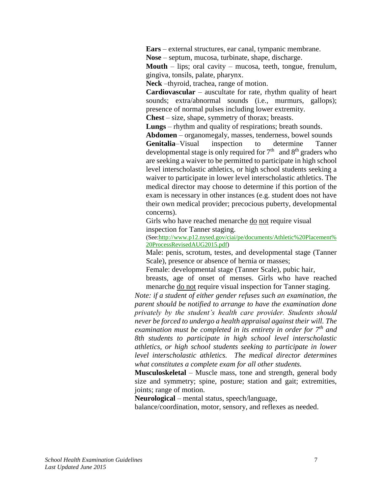**Ears** – external structures, ear canal, tympanic membrane.

**Nose** – septum, mucosa, turbinate, shape, discharge.

**Mouth** – lips; oral cavity – mucosa, teeth, tongue, frenulum, gingiva, tonsils, palate, pharynx.

**Neck** –thyroid, trachea, range of motion.

**Cardiovascular** – auscultate for rate, rhythm quality of heart sounds; extra/abnormal sounds (i.e., murmurs, gallops); presence of normal pulses including lower extremity.

**Chest** – size, shape, symmetry of thorax; breasts.

**Lungs** – rhythm and quality of respirations; breath sounds.

**Abdomen** – organomegaly, masses, tenderness, bowel sounds

**Genitalia**–Visual inspection to determine Tanner developmental stage is only required for  $7<sup>th</sup>$  and  $8<sup>th</sup>$  graders who are seeking a waiver to be permitted to participate in high school level interscholastic athletics, or high school students seeking a waiver to participate in lower level interscholastic athletics. The medical director may choose to determine if this portion of the exam is necessary in other instances (e.g. student does not have their own medical provider; precocious puberty, developmental concerns).

Girls who have reached menarche do not require visual inspection for Tanner staging.

(See[:http://www.p12.nysed.gov/ciai/pe/documents/Athletic%20Placement%](http://www.p12.nysed.gov/ciai/pe/documents/Athletic%20Placement%20ProcessRevisedAUG2015.pdf) [20ProcessRevisedAUG2015.pdf\)](http://www.p12.nysed.gov/ciai/pe/documents/Athletic%20Placement%20ProcessRevisedAUG2015.pdf)

Male: penis, scrotum, testes, and developmental stage (Tanner Scale), presence or absence of hernia or masses;

Female: developmental stage (Tanner Scale), pubic hair,

breasts, age of onset of menses. Girls who have reached menarche do not require visual inspection for Tanner staging.

*Note: if a student of either gender refuses such an examination, the parent should be notified to arrange to have the examination done privately by the student's health care provider. Students should never be forced to undergo a health appraisal against their will. The examination must be completed in its entirety in order for 7th and 8th students to participate in high school level interscholastic athletics, or high school students seeking to participate in lower level interscholastic athletics. The medical director determines what constitutes a complete exam for all other students.*

**Musculoskeletal** – Muscle mass, tone and strength, general body size and symmetry; spine, posture; station and gait; extremities, joints; range of motion.

**Neurological** – mental status, speech/language,

balance/coordination, motor, sensory, and reflexes as needed.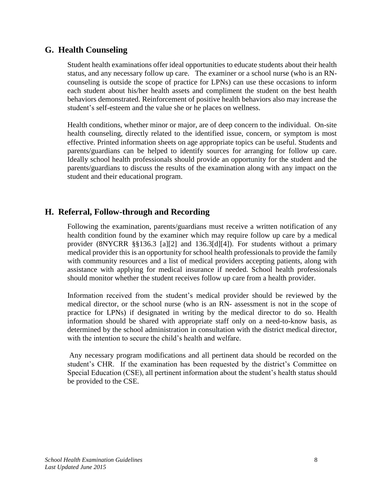### **G. Health Counseling**

Student health examinations offer ideal opportunities to educate students about their health status, and any necessary follow up care. The examiner or a school nurse (who is an RNcounseling is outside the scope of practice for LPNs) can use these occasions to inform each student about his/her health assets and compliment the student on the best health behaviors demonstrated. Reinforcement of positive health behaviors also may increase the student's self-esteem and the value she or he places on wellness.

Health conditions, whether minor or major, are of deep concern to the individual. On-site health counseling, directly related to the identified issue, concern, or symptom is most effective. Printed information sheets on age appropriate topics can be useful. Students and parents/guardians can be helped to identify sources for arranging for follow up care. Ideally school health professionals should provide an opportunity for the student and the parents/guardians to discuss the results of the examination along with any impact on the student and their educational program.

### **H. Referral, Follow-through and Recording**

Following the examination, parents/guardians must receive a written notification of any health condition found by the examiner which may require follow up care by a medical provider (8NYCRR §§136.3 [a][2] and 136.3[d][4]). For students without a primary medical provider this is an opportunity for school health professionals to provide the family with community resources and a list of medical providers accepting patients, along with assistance with applying for medical insurance if needed. School health professionals should monitor whether the student receives follow up care from a health provider.

Information received from the student's medical provider should be reviewed by the medical director, or the school nurse (who is an RN- assessment is not in the scope of practice for LPNs) if designated in writing by the medical director to do so. Health information should be shared with appropriate staff only on a need-to-know basis, as determined by the school administration in consultation with the district medical director, with the intention to secure the child's health and welfare.

Any necessary program modifications and all pertinent data should be recorded on the student's CHR. If the examination has been requested by the district's Committee on Special Education (CSE), all pertinent information about the student's health status should be provided to the CSE.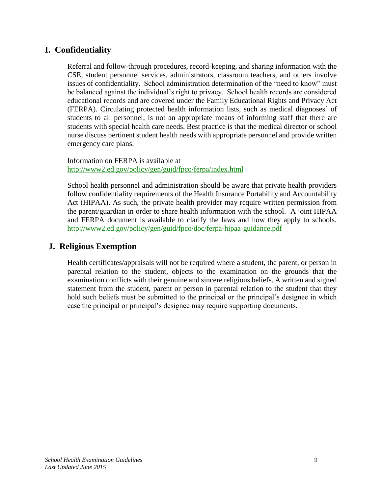### **I. Confidentiality**

Referral and follow-through procedures, record-keeping, and sharing information with the CSE, student personnel services, administrators, classroom teachers, and others involve issues of confidentiality. School administration determination of the "need to know" must be balanced against the individual's right to privacy. School health records are considered educational records and are covered under the Family Educational Rights and Privacy Act (FERPA). Circulating protected health information lists, such as medical diagnoses' of students to all personnel, is not an appropriate means of informing staff that there are students with special health care needs. Best practice is that the medical director or school nurse discuss pertinent student health needs with appropriate personnel and provide written emergency care plans.

Information on FERPA is available at <http://www2.ed.gov/policy/gen/guid/fpco/ferpa/index.html>

School health personnel and administration should be aware that private health providers follow confidentiality requirements of the Health Insurance Portability and Accountability Act (HIPAA). As such, the private health provider may require written permission from the parent/guardian in order to share health information with the school. A joint HIPAA and FERPA document is available to clarify the laws and how they apply to schools. <http://www2.ed.gov/policy/gen/guid/fpco/doc/ferpa-hipaa-guidance.pdf>

### **J. Religious Exemption**

.

Health certificates/appraisals will not be required where a student, the parent, or person in parental relation to the student, objects to the examination on the grounds that the examination conflicts with their genuine and sincere religious beliefs. A written and signed statement from the student, parent or person in parental relation to the student that they hold such beliefs must be submitted to the principal or the principal's designee in which case the principal or principal's designee may require supporting documents.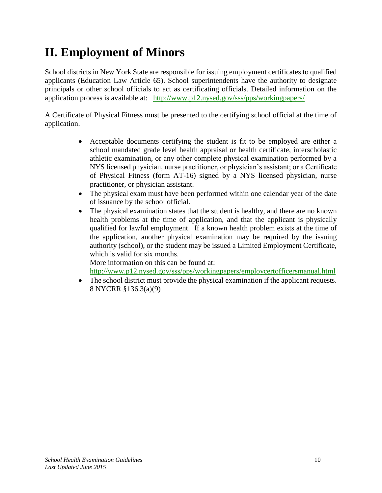# **II. Employment of Minors**

School districts in New York State are responsible for issuing employment certificates to qualified applicants (Education Law Article 65). School superintendents have the authority to designate principals or other school officials to act as certificating officials. Detailed information on the application process is available at: <http://www.p12.nysed.gov/sss/pps/workingpapers/>

A Certificate of Physical Fitness must be presented to the certifying school official at the time of application.

- Acceptable documents certifying the student is fit to be employed are either a school mandated grade level health appraisal or health certificate, interscholastic athletic examination, or any other complete physical examination performed by a NYS licensed physician, nurse practitioner, or physician's assistant; or a Certificate of Physical Fitness (form AT-16) signed by a NYS licensed physician, nurse practitioner, or physician assistant.
- The physical exam must have been performed within one calendar year of the date of issuance by the school official.
- The physical examination states that the student is healthy, and there are no known health problems at the time of application, and that the applicant is physically qualified for lawful employment. If a known health problem exists at the time of the application, another physical examination may be required by the issuing authority (school), or the student may be issued a Limited Employment Certificate, which is valid for six months.

More information on this can be found at: <http://www.p12.nysed.gov/sss/pps/workingpapers/employcertofficersmanual.html>

• The school district must provide the physical examination if the applicant requests. 8 NYCRR §136.3(a)(9)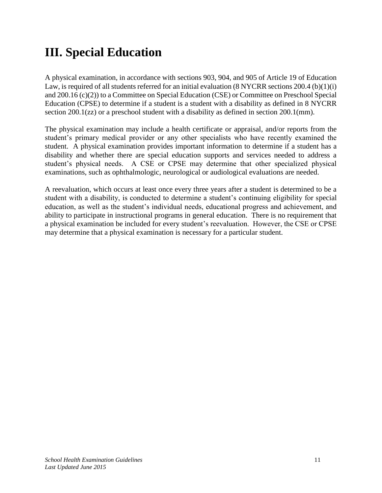## **III. Special Education**

A physical examination, in accordance with sections 903, 904, and 905 of Article 19 of Education Law, is required of all students referred for an initial evaluation (8 NYCRR sections 200.4 (b)(1)(i) and 200.16 (c)(2)) to a Committee on Special Education (CSE) or Committee on Preschool Special Education (CPSE) to determine if a student is a student with a disability as defined in 8 NYCRR section 200.1(zz) or a preschool student with a disability as defined in section 200.1(mm).

The physical examination may include a health certificate or appraisal, and/or reports from the student's primary medical provider or any other specialists who have recently examined the student. A physical examination provides important information to determine if a student has a disability and whether there are special education supports and services needed to address a student's physical needs. A CSE or CPSE may determine that other specialized physical examinations, such as ophthalmologic, neurological or audiological evaluations are needed.

A reevaluation, which occurs at least once every three years after a student is determined to be a student with a disability, is conducted to determine a student's continuing eligibility for special education, as well as the student's individual needs, educational progress and achievement, and ability to participate in instructional programs in general education. There is no requirement that a physical examination be included for every student's reevaluation. However, the CSE or CPSE may determine that a physical examination is necessary for a particular student.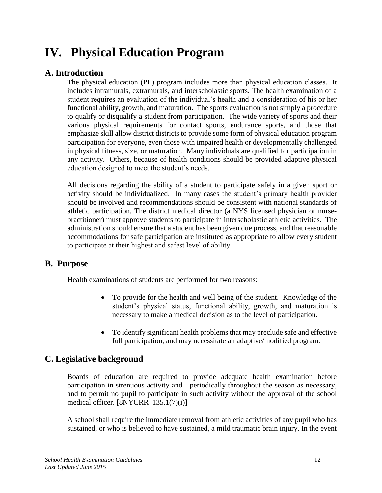## **IV. Physical Education Program**

### **A. Introduction**

The physical education (PE) program includes more than physical education classes. It includes intramurals, extramurals, and interscholastic sports. The health examination of a student requires an evaluation of the individual's health and a consideration of his or her functional ability, growth, and maturation. The sports evaluation is not simply a procedure to qualify or disqualify a student from participation. The wide variety of sports and their various physical requirements for contact sports, endurance sports, and those that emphasize skill allow district districts to provide some form of physical education program participation for everyone, even those with impaired health or developmentally challenged in physical fitness, size, or maturation. Many individuals are qualified for participation in any activity. Others, because of health conditions should be provided adaptive physical education designed to meet the student's needs.

All decisions regarding the ability of a student to participate safely in a given sport or activity should be individualized. In many cases the student's primary health provider should be involved and recommendations should be consistent with national standards of athletic participation. The district medical director (a NYS licensed physician or nursepractitioner) must approve students to participate in interscholastic athletic activities. The administration should ensure that a student has been given due process, and that reasonable accommodations for safe participation are instituted as appropriate to allow every student to participate at their highest and safest level of ability.

### **B. Purpose**

Health examinations of students are performed for two reasons:

- To provide for the health and well being of the student. Knowledge of the student's physical status, functional ability, growth, and maturation is necessary to make a medical decision as to the level of participation.
- To identify significant health problems that may preclude safe and effective full participation, and may necessitate an adaptive/modified program.

### **C. Legislative background**

Boards of education are required to provide adequate health examination before participation in strenuous activity and periodically throughout the season as necessary, and to permit no pupil to participate in such activity without the approval of the school medical officer. [8NYCRR 135.1(7)(i)]

A school shall require the immediate removal from athletic activities of any pupil who has sustained, or who is believed to have sustained, a mild traumatic brain injury. In the event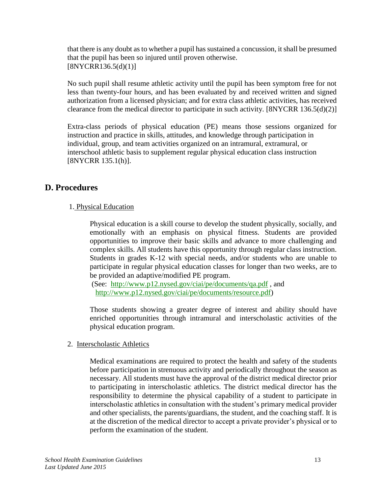that there is any doubt as to whether a pupil has sustained a concussion, it shall be presumed that the pupil has been so injured until proven otherwise.  $[8NYCRR136.5(d)(1)]$ 

No such pupil shall resume athletic activity until the pupil has been symptom free for not less than twenty-four hours, and has been evaluated by and received written and signed authorization from a licensed physician; and for extra class athletic activities, has received clearance from the medical director to participate in such activity. [8NYCRR 136.5(d)(2)]

Extra-class periods of physical education (PE) means those sessions organized for instruction and practice in skills, attitudes, and knowledge through participation in individual, group, and team activities organized on an intramural, extramural, or interschool athletic basis to supplement regular physical education class instruction [8NYCRR 135.1(h)].

### **D. Procedures**

### 1. Physical Education

Physical education is a skill course to develop the student physically, socially, and emotionally with an emphasis on physical fitness. Students are provided opportunities to improve their basic skills and advance to more challenging and complex skills. All students have this opportunity through regular class instruction. Students in grades K-12 with special needs, and/or students who are unable to participate in regular physical education classes for longer than two weeks, are to be provided an adaptive/modified PE program.

(See: <http://www.p12.nysed.gov/ciai/pe/documents/qa.pdf> , and [http://www.p12.nysed.gov/ciai/pe/documents/resource.pdf\)](http://www.p12.nysed.gov/ciai/pe/documents/resource.pdf)

Those students showing a greater degree of interest and ability should have enriched opportunities through intramural and interscholastic activities of the physical education program.

### 2. Interscholastic Athletics

Medical examinations are required to protect the health and safety of the students before participation in strenuous activity and periodically throughout the season as necessary. All students must have the approval of the district medical director prior to participating in interscholastic athletics. The district medical director has the responsibility to determine the physical capability of a student to participate in interscholastic athletics in consultation with the student's primary medical provider and other specialists, the parents/guardians, the student, and the coaching staff. It is at the discretion of the medical director to accept a private provider's physical or to perform the examination of the student.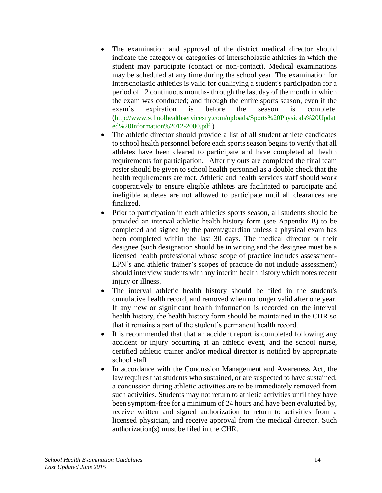- The examination and approval of the district medical director should indicate the category or categories of interscholastic athletics in which the student may participate (contact or non-contact). Medical examinations may be scheduled at any time during the school year. The examination for interscholastic athletics is valid for qualifying a student's participation for a period of 12 continuous months- through the last day of the month in which the exam was conducted; and through the entire sports season, even if the exam's expiration is before the season is complete. ([http://www.schoolhealthservicesny.com/uploads/Sports%20Physicals%20Updat](http://www.schoolhealthservicesny.com/uploads/Sports%20Physicals%20Updated%20Information%2012-2000.pdf) [ed%20Information%2012-2000.pdf](http://www.schoolhealthservicesny.com/uploads/Sports%20Physicals%20Updated%20Information%2012-2000.pdf) )
- The athletic director should provide a list of all student athlete candidates to school health personnel before each sports season begins to verify that all athletes have been cleared to participate and have completed all health requirements for participation. After try outs are completed the final team roster should be given to school health personnel as a double check that the health requirements are met. Athletic and health services staff should work cooperatively to ensure eligible athletes are facilitated to participate and ineligible athletes are not allowed to participate until all clearances are finalized.
- Prior to participation in each athletics sports season, all students should be provided an interval athletic health history form (see Appendix B) to be completed and signed by the parent/guardian unless a physical exam has been completed within the last 30 days. The medical director or their designee (such designation should be in writing and the designee must be a licensed health professional whose scope of practice includes assessment-LPN's and athletic trainer's scopes of practice do not include assessment) should interview students with any interim health history which notes recent injury or illness.
- The interval athletic health history should be filed in the student's cumulative health record, and removed when no longer valid after one year. If any new or significant health information is recorded on the interval health history, the health history form should be maintained in the CHR so that it remains a part of the student's permanent health record.
- It is recommended that that an accident report is completed following any accident or injury occurring at an athletic event, and the school nurse, certified athletic trainer and/or medical director is notified by appropriate school staff.
- In accordance with the Concussion Management and Awareness Act, the law requires that students who sustained, or are suspected to have sustained, a concussion during athletic activities are to be immediately removed from such activities. Students may not return to athletic activities until they have been symptom-free for a minimum of 24 hours and have been evaluated by, receive written and signed authorization to return to activities from a licensed physician, and receive approval from the medical director. Such authorization(s) must be filed in the CHR.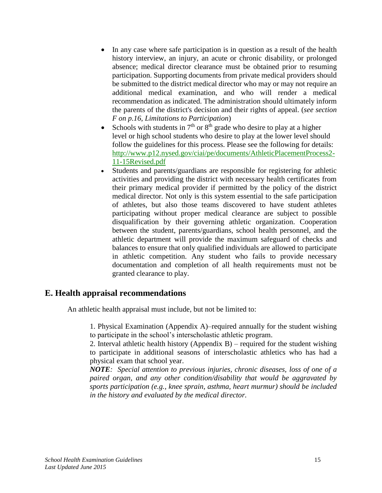- In any case where safe participation is in question as a result of the health history interview, an injury, an acute or chronic disability, or prolonged absence; medical director clearance must be obtained prior to resuming participation. Supporting documents from private medical providers should be submitted to the district medical director who may or may not require an additional medical examination, and who will render a medical recommendation as indicated. The administration should ultimately inform the parents of the district's decision and their rights of appeal. (*see section F on p.16*, *Limitations to Participation*)
- Schools with students in  $7<sup>th</sup>$  or  $8<sup>th</sup>$  grade who desire to play at a higher level or high school students who desire to play at the lower level should follow the guidelines for this process. Please see the following for details: [http://www.p12.nysed.gov/ciai/pe/documents/AthleticPlacementProcess2-](http://www.p12.nysed.gov/ciai/pe/documents/AthleticPlacementProcess2-11-15Revised.pdf) [11-15Revised.pdf](http://www.p12.nysed.gov/ciai/pe/documents/AthleticPlacementProcess2-11-15Revised.pdf)
- Students and parents/guardians are responsible for registering for athletic activities and providing the district with necessary health certificates from their primary medical provider if permitted by the policy of the district medical director*.* Not only is this system essential to the safe participation of athletes, but also those teams discovered to have student athletes participating without proper medical clearance are subject to possible disqualification by their governing athletic organization. Cooperation between the student, parents/guardians, school health personnel, and the athletic department will provide the maximum safeguard of checks and balances to ensure that only qualified individuals are allowed to participate in athletic competition. Any student who fails to provide necessary documentation and completion of all health requirements must not be granted clearance to play.

### **E. Health appraisal recommendations**

An athletic health appraisal must include, but not be limited to:

1. Physical Examination (Appendix A)–required annually for the student wishing to participate in the school's interscholastic athletic program.

2. Interval athletic health history (Appendix B) – required for the student wishing to participate in additional seasons of interscholastic athletics who has had a physical exam that school year.

*NOTE: Special attention to previous injuries, chronic diseases, loss of one of a paired organ, and any other condition/disability that would be aggravated by sports participation (e.g., knee sprain, asthma, heart murmur) should be included in the history and evaluated by the medical director.*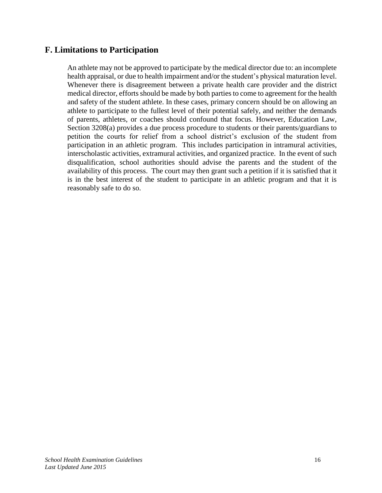### **F. Limitations to Participation**

An athlete may not be approved to participate by the medical director due to: an incomplete health appraisal, or due to health impairment and/or the student's physical maturation level. Whenever there is disagreement between a private health care provider and the district medical director, efforts should be made by both parties to come to agreement for the health and safety of the student athlete. In these cases, primary concern should be on allowing an athlete to participate to the fullest level of their potential safely, and neither the demands of parents, athletes, or coaches should confound that focus. However, Education Law, Section 3208(a) provides a due process procedure to students or their parents/guardians to petition the courts for relief from a school district's exclusion of the student from participation in an athletic program. This includes participation in intramural activities, interscholastic activities, extramural activities, and organized practice. In the event of such disqualification, school authorities should advise the parents and the student of the availability of this process. The court may then grant such a petition if it is satisfied that it is in the best interest of the student to participate in an athletic program and that it is reasonably safe to do so.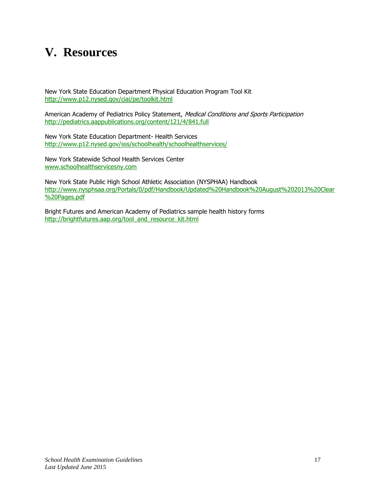### **V. Resources**

New York State Education Department Physical Education Program Tool Kit <http://www.p12.nysed.gov/ciai/pe/toolkit.html>

American Academy of Pediatrics Policy Statement, Medical Conditions and Sports Participation <http://pediatrics.aappublications.org/content/121/4/841.full>

New York State Education Department- Health Services <http://www.p12.nysed.gov/sss/schoolhealth/schoolhealthservices/>

New York Statewide School Health Services Center [www.schoolhealthservicesny.com](http://www.schoolhealthservicesny.com/)

New York State Public High School Athletic Association (NYSPHAA) Handbook [http://www.nysphsaa.org/Portals/0/pdf/Handbook/Updated%20Handbook%20August%202013%20Clear](http://www.nysphsaa.org/Portals/0/pdf/Handbook/Updated%20Handbook%20August%202013%20Clear%20Pages.pdf) [%20Pages.pdf](http://www.nysphsaa.org/Portals/0/pdf/Handbook/Updated%20Handbook%20August%202013%20Clear%20Pages.pdf)

Bright Futures and American Academy of Pediatrics sample health history forms [http://brightfutures.aap.org/tool\\_and\\_resource\\_kit.html](http://brightfutures.aap.org/tool_and_resource_kit.html)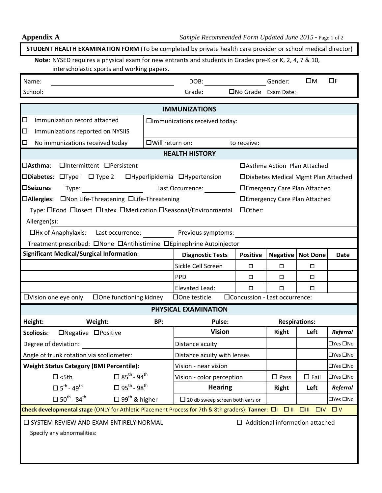| <b>STUDENT HEALTH EXAMINATION FORM</b> (To be completed by private health care provider or school medical director)                                                                                                                                |                                |                                        |                                |                                      |                      |             |  |  |
|----------------------------------------------------------------------------------------------------------------------------------------------------------------------------------------------------------------------------------------------------|--------------------------------|----------------------------------------|--------------------------------|--------------------------------------|----------------------|-------------|--|--|
| Note: NYSED requires a physical exam for new entrants and students in Grades pre-K or K, 2, 4, 7 & 10,                                                                                                                                             |                                |                                        |                                |                                      |                      |             |  |  |
| interscholastic sports and working papers.                                                                                                                                                                                                         |                                |                                        |                                |                                      |                      |             |  |  |
| Name:                                                                                                                                                                                                                                              |                                | DOB:                                   |                                | Gender:                              | ΠМ                   | $\Box$ F    |  |  |
| School:                                                                                                                                                                                                                                            |                                | Grade:                                 | □No Grade Exam Date:           |                                      |                      |             |  |  |
| <b>IMMUNIZATIONS</b>                                                                                                                                                                                                                               |                                |                                        |                                |                                      |                      |             |  |  |
| □<br>Immunization record attached                                                                                                                                                                                                                  | □Immunizations received today: |                                        |                                |                                      |                      |             |  |  |
| □<br>Immunizations reported on NYSIIS                                                                                                                                                                                                              |                                |                                        |                                |                                      |                      |             |  |  |
| □<br>No immunizations received today                                                                                                                                                                                                               |                                | □Will return on:                       | to receive:                    |                                      |                      |             |  |  |
|                                                                                                                                                                                                                                                    |                                | <b>HEALTH HISTORY</b>                  |                                |                                      |                      |             |  |  |
| □Asthma:<br>□Intermittent □Persistent                                                                                                                                                                                                              |                                |                                        |                                | □ Asthma Action Plan Attached        |                      |             |  |  |
| □Diabetes: □Type I □ Type 2 □ □ Hyperlipidemia □ Hypertension                                                                                                                                                                                      |                                |                                        |                                | □Diabetes Medical Mgmt Plan Attached |                      |             |  |  |
| <b>□Seizures</b><br>Type: The contract of the contract of the contract of the contract of the contract of the contract of the contract of the contract of the contract of the contract of the contract of the contract of the contract of the cont |                                | Last Occurrence:                       |                                | □Emergency Care Plan Attached        |                      |             |  |  |
| □Allergies: □Non Life-Threatening □Life-Threatening                                                                                                                                                                                                |                                |                                        |                                | □Emergency Care Plan Attached        |                      |             |  |  |
| □Other:<br>Type: OFood OInsect OLatex OMedication OSeasonal/Environmental                                                                                                                                                                          |                                |                                        |                                |                                      |                      |             |  |  |
| Allergen(s):                                                                                                                                                                                                                                       |                                |                                        |                                |                                      |                      |             |  |  |
| □Hx of Anaphylaxis: Last occurrence: Previous symptoms:                                                                                                                                                                                            |                                |                                        |                                |                                      |                      |             |  |  |
| Treatment prescribed: ONone DAntihistimine OEpinephrine Autoinjector                                                                                                                                                                               |                                |                                        |                                |                                      |                      |             |  |  |
| <b>Significant Medical/Surgical Information:</b>                                                                                                                                                                                                   |                                | <b>Diagnostic Tests</b>                | <b>Positive</b>                | Negative                             | <b>Not Done</b>      | <b>Date</b> |  |  |
|                                                                                                                                                                                                                                                    |                                | Sickle Cell Screen                     | $\Box$                         | $\Box$                               | $\Box$               |             |  |  |
|                                                                                                                                                                                                                                                    |                                | PPD                                    | $\Box$                         | □                                    | □                    |             |  |  |
|                                                                                                                                                                                                                                                    |                                | Elevated Lead:                         | □                              | $\Box$                               | $\Box$               |             |  |  |
| □One functioning kidney<br>□Vision one eye only                                                                                                                                                                                                    |                                | $\Box$ One testicle                    | □Concussion - Last occurrence: |                                      |                      |             |  |  |
|                                                                                                                                                                                                                                                    |                                | PHYSICAL EXAMINATION                   |                                |                                      |                      |             |  |  |
| Height:<br>Weight:                                                                                                                                                                                                                                 | BP:                            | Pulse:                                 |                                |                                      | <b>Respirations:</b> |             |  |  |
| <b>Scoliosis:</b><br>□Negative □Positive                                                                                                                                                                                                           |                                | <b>Vision</b>                          |                                | <b>Right</b>                         | Left                 | Referral    |  |  |
| Degree of deviation:                                                                                                                                                                                                                               |                                | Distance acuity                        |                                |                                      |                      | □Yes □No    |  |  |
| Angle of trunk rotation via scoliometer:                                                                                                                                                                                                           |                                | Distance acuity with lenses            |                                |                                      |                      | □Yes □No    |  |  |
| <b>Weight Status Category (BMI Percentile):</b>                                                                                                                                                                                                    |                                | Vision - near vision                   |                                |                                      |                      | □Yes □No    |  |  |
| $\Box$ 85 <sup>th</sup> - 94 <sup>th</sup><br>$\square$ <5th                                                                                                                                                                                       |                                | Vision - color perception              |                                | $\square$ Pass                       | $\Box$ Fail          | □Yes □No    |  |  |
| $\Box$ 95 <sup>th</sup> - 98 <sup>th</sup><br>$\square$ 5 <sup>th</sup> - 49 <sup>th</sup>                                                                                                                                                         |                                | <b>Hearing</b>                         |                                | <b>Right</b>                         | Left                 | Referral    |  |  |
| $\Box$ 50 <sup>th</sup> - 84 <sup>th</sup><br>$\Box$ 99 <sup>th</sup> & higher                                                                                                                                                                     |                                | $\Box$ 20 db sweep screen both ears or |                                |                                      |                      | □Yes □No    |  |  |
| Check developmental stage (ONLY for Athletic Placement Process for 7th & 8th graders): Tanner: $\Box I$ $\Box II$ $\Box II$ $\Box IV$ $\Box V$                                                                                                     |                                |                                        |                                |                                      |                      |             |  |  |
| $\Box$ Additional information attached<br><b>O SYSTEM REVIEW AND EXAM ENTIRELY NORMAL</b>                                                                                                                                                          |                                |                                        |                                |                                      |                      |             |  |  |
| Specify any abnormalities:                                                                                                                                                                                                                         |                                |                                        |                                |                                      |                      |             |  |  |
|                                                                                                                                                                                                                                                    |                                |                                        |                                |                                      |                      |             |  |  |
|                                                                                                                                                                                                                                                    |                                |                                        |                                |                                      |                      |             |  |  |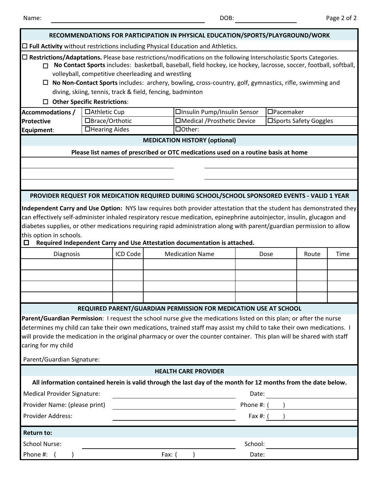| RECOMMENDATIONS FOR PARTICIPATION IN PHYSICAL EDUCATION/SPORTS/PLAYGROUND/WORK                                                                                                                                                                                                                                                                                                                                          |                                                                           |                                      |                                                                                                                         |                         |       |      |  |  |  |  |
|-------------------------------------------------------------------------------------------------------------------------------------------------------------------------------------------------------------------------------------------------------------------------------------------------------------------------------------------------------------------------------------------------------------------------|---------------------------------------------------------------------------|--------------------------------------|-------------------------------------------------------------------------------------------------------------------------|-------------------------|-------|------|--|--|--|--|
| $\Box$ Full Activity without restrictions including Physical Education and Athletics.                                                                                                                                                                                                                                                                                                                                   |                                                                           |                                      |                                                                                                                         |                         |       |      |  |  |  |  |
| □ Restrictions/Adaptations. Please base restrictions/modifications on the following Interscholastic Sports Categories.<br>No Contact Sports includes: basketball, baseball, field hockey, ice hockey, lacrosse, soccer, football, softball,<br>п<br>volleyball, competitive cheerleading and wrestling<br>$\Box$ No Non-Contact Sports includes: archery, bowling, cross-country, golf, gymnastics, rifle, swimming and |                                                                           |                                      |                                                                                                                         |                         |       |      |  |  |  |  |
| diving, skiing, tennis, track & field, fencing, badminton                                                                                                                                                                                                                                                                                                                                                               |                                                                           |                                      |                                                                                                                         |                         |       |      |  |  |  |  |
|                                                                                                                                                                                                                                                                                                                                                                                                                         | $\Box$ Other Specific Restrictions:                                       |                                      |                                                                                                                         |                         |       |      |  |  |  |  |
| <b>Accommodations /</b>                                                                                                                                                                                                                                                                                                                                                                                                 | □Athletic Cup                                                             |                                      | □Insulin Pump/Insulin Sensor                                                                                            | $\Box$ Pacemaker        |       |      |  |  |  |  |
| Protective                                                                                                                                                                                                                                                                                                                                                                                                              | □Brace/Orthotic                                                           |                                      | □Medical /Prosthetic Device                                                                                             | □ Sports Safety Goggles |       |      |  |  |  |  |
| Equipment:                                                                                                                                                                                                                                                                                                                                                                                                              | □Hearing Aides                                                            | □Other:                              |                                                                                                                         |                         |       |      |  |  |  |  |
|                                                                                                                                                                                                                                                                                                                                                                                                                         |                                                                           | <b>MEDICATION HISTORY (optional)</b> |                                                                                                                         |                         |       |      |  |  |  |  |
|                                                                                                                                                                                                                                                                                                                                                                                                                         |                                                                           |                                      | Please list names of prescribed or OTC medications used on a routine basis at home                                      |                         |       |      |  |  |  |  |
|                                                                                                                                                                                                                                                                                                                                                                                                                         |                                                                           |                                      |                                                                                                                         |                         |       |      |  |  |  |  |
|                                                                                                                                                                                                                                                                                                                                                                                                                         |                                                                           |                                      |                                                                                                                         |                         |       |      |  |  |  |  |
|                                                                                                                                                                                                                                                                                                                                                                                                                         |                                                                           |                                      |                                                                                                                         |                         |       |      |  |  |  |  |
|                                                                                                                                                                                                                                                                                                                                                                                                                         |                                                                           |                                      | PROVIDER REQUEST FOR MEDICATION REQUIRED DURING SCHOOL/SCHOOL SPONSORED EVENTS - VALID 1 YEAR                           |                         |       |      |  |  |  |  |
|                                                                                                                                                                                                                                                                                                                                                                                                                         |                                                                           |                                      | Independent Carry and Use Option: NYS law requires both provider attestation that the student has demonstrated they     |                         |       |      |  |  |  |  |
|                                                                                                                                                                                                                                                                                                                                                                                                                         |                                                                           |                                      | can effectively self-administer inhaled respiratory rescue medication, epinephrine autoinjector, insulin, glucagon and  |                         |       |      |  |  |  |  |
|                                                                                                                                                                                                                                                                                                                                                                                                                         |                                                                           |                                      | diabetes supplies, or other medications requiring rapid administration along with parent/guardian permission to allow   |                         |       |      |  |  |  |  |
| this option in schools.                                                                                                                                                                                                                                                                                                                                                                                                 |                                                                           |                                      |                                                                                                                         |                         |       |      |  |  |  |  |
| 0                                                                                                                                                                                                                                                                                                                                                                                                                       | Required Independent Carry and Use Attestation documentation is attached. |                                      |                                                                                                                         |                         |       |      |  |  |  |  |
| Diagnosis                                                                                                                                                                                                                                                                                                                                                                                                               | ICD Code                                                                  | <b>Medication Name</b>               |                                                                                                                         | Dose                    | Route | Time |  |  |  |  |
|                                                                                                                                                                                                                                                                                                                                                                                                                         |                                                                           |                                      |                                                                                                                         |                         |       |      |  |  |  |  |
|                                                                                                                                                                                                                                                                                                                                                                                                                         |                                                                           |                                      |                                                                                                                         |                         |       |      |  |  |  |  |
|                                                                                                                                                                                                                                                                                                                                                                                                                         |                                                                           |                                      |                                                                                                                         |                         |       |      |  |  |  |  |
|                                                                                                                                                                                                                                                                                                                                                                                                                         |                                                                           |                                      |                                                                                                                         |                         |       |      |  |  |  |  |
|                                                                                                                                                                                                                                                                                                                                                                                                                         |                                                                           |                                      | REQUIRED PARENT/GUARDIAN PERMISSION FOR MEDICATION USE AT SCHOOL                                                        |                         |       |      |  |  |  |  |
|                                                                                                                                                                                                                                                                                                                                                                                                                         |                                                                           |                                      | Parent/Guardian Permission: I request the school nurse give the medications listed on this plan; or after the nurse     |                         |       |      |  |  |  |  |
|                                                                                                                                                                                                                                                                                                                                                                                                                         |                                                                           |                                      | determines my child can take their own medications, trained staff may assist my child to take their own medications. I  |                         |       |      |  |  |  |  |
|                                                                                                                                                                                                                                                                                                                                                                                                                         |                                                                           |                                      | will provide the medication in the original pharmacy or over the counter container. This plan will be shared with staff |                         |       |      |  |  |  |  |
| caring for my child                                                                                                                                                                                                                                                                                                                                                                                                     |                                                                           |                                      |                                                                                                                         |                         |       |      |  |  |  |  |
| Parent/Guardian Signature:                                                                                                                                                                                                                                                                                                                                                                                              |                                                                           |                                      |                                                                                                                         |                         |       |      |  |  |  |  |
|                                                                                                                                                                                                                                                                                                                                                                                                                         |                                                                           | <b>HEALTH CARE PROVIDER</b>          |                                                                                                                         |                         |       |      |  |  |  |  |
|                                                                                                                                                                                                                                                                                                                                                                                                                         |                                                                           |                                      |                                                                                                                         |                         |       |      |  |  |  |  |
|                                                                                                                                                                                                                                                                                                                                                                                                                         |                                                                           |                                      | All information contained herein is valid through the last day of the month for 12 months from the date below.          |                         |       |      |  |  |  |  |
| <b>Medical Provider Signature:</b>                                                                                                                                                                                                                                                                                                                                                                                      |                                                                           |                                      | Date:                                                                                                                   |                         |       |      |  |  |  |  |
| Provider Name: (please print)                                                                                                                                                                                                                                                                                                                                                                                           |                                                                           |                                      | Phone #: (                                                                                                              |                         |       |      |  |  |  |  |
| Provider Address:                                                                                                                                                                                                                                                                                                                                                                                                       |                                                                           |                                      | Fax #: (                                                                                                                |                         |       |      |  |  |  |  |
| <b>Return to:</b>                                                                                                                                                                                                                                                                                                                                                                                                       |                                                                           |                                      |                                                                                                                         |                         |       |      |  |  |  |  |
| <b>School Nurse:</b>                                                                                                                                                                                                                                                                                                                                                                                                    |                                                                           |                                      | School:                                                                                                                 |                         |       |      |  |  |  |  |
|                                                                                                                                                                                                                                                                                                                                                                                                                         |                                                                           |                                      |                                                                                                                         |                         |       |      |  |  |  |  |
| Phone #:                                                                                                                                                                                                                                                                                                                                                                                                                |                                                                           | Fax: $($                             | Date:                                                                                                                   |                         |       |      |  |  |  |  |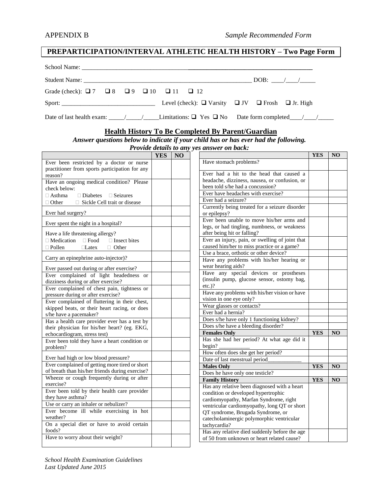### **PREPARTICIPATION/INTERVAL ATHLETIC HEALTH HISTORY – Two Page Form**

|                                                                         |  |  |  | $\Box$ DOB: $\Box$ |  |
|-------------------------------------------------------------------------|--|--|--|--------------------|--|
| Grade (check): $\Box 7$ $\Box 8$ $\Box 9$ $\Box 10$ $\Box 11$ $\Box 12$ |  |  |  |                    |  |
|                                                                         |  |  |  |                    |  |
|                                                                         |  |  |  |                    |  |

#### **Health History To Be Completed By Parent/Guardian**

#### *Answer questions below to indicate if your child has or has ever had the following.*

*Provide details to any yes answer on back:*

|                                                      | <b>YES</b> | NO |                                                 | <b>YES</b> | <b>NO</b>      |
|------------------------------------------------------|------------|----|-------------------------------------------------|------------|----------------|
| Ever been restricted by a doctor or nurse            |            |    | Have stomach problems?                          |            |                |
| practitioner from sports participation for any       |            |    |                                                 |            |                |
| reason?                                              |            |    | Ever had a hit to the head that caused a        |            |                |
| Have an ongoing medical condition? Please            |            |    | headache, dizziness, nausea, or confusion, or   |            |                |
| check below:                                         |            |    | been told s/he had a concussion?                |            |                |
| $\Box$ Asthma<br>$\Box$ Diabetes<br>$\Box$ Seizures  |            |    | Ever have headaches with exercise?              |            |                |
| □ Sickle Cell trait or disease<br>$\Box$ Other       |            |    | Ever had a seizure?                             |            |                |
|                                                      |            |    | Currently being treated for a seizure disorder  |            |                |
| Ever had surgery?                                    |            |    | or epilepsy?                                    |            |                |
| Ever spent the night in a hospital?                  |            |    | Ever been unable to move his/her arms and       |            |                |
|                                                      |            |    | legs, or had tingling, numbness, or weakness    |            |                |
| Have a life threatening allergy?                     |            |    | after being hit or falling?                     |            |                |
| $\Box$ Medication $\Box$ Food<br>$\Box$ Insect bites |            |    | Ever an injury, pain, or swelling of joint that |            |                |
| $\Box$ Pollen<br>$\Box$ Latex<br>$\Box$ Other        |            |    | caused him/her to miss practice or a game?      |            |                |
|                                                      |            |    | Use a brace, orthotic or other device?          |            |                |
| Carry an epinephrine auto-injector)?                 |            |    | Have any problems with his/her hearing or       |            |                |
| Ever passed out during or after exercise?            |            |    | wear hearing aids?                              |            |                |
| Ever complained of light headedness or               |            |    | Have any special devices or prostheses          |            |                |
| dizziness during or after exercise?                  |            |    | (insulin pump, glucose sensor, ostomy bag,      |            |                |
| Ever complained of chest pain, tightness or          |            |    | $etc.$ )?                                       |            |                |
| pressure during or after exercise?                   |            |    | Have any problems with his/her vision or have   |            |                |
| Ever complained of fluttering in their chest,        |            |    | vision in one eye only?                         |            |                |
| skipped beats, or their heart racing, or does        |            |    | Wear glasses or contacts?                       |            |                |
| s/he have a pacemaker?                               |            |    | Ever had a hernia?                              |            |                |
| Has a health care provider ever has a test by        |            |    | Does s/he have only 1 functioning kidney?       |            |                |
| their physician for his/her heart? (eg. EKG,         |            |    | Does s/he have a bleeding disorder?             |            |                |
| echocardiogram, stress test)                         |            |    | <b>Females Only</b>                             | <b>YES</b> | N <sub>O</sub> |
| Ever been told they have a heart condition or        |            |    | Has she had her period? At what age did it      |            |                |
| problem?                                             |            |    | begin?                                          |            |                |
|                                                      |            |    | How often does she get her period?              |            |                |
| Ever had high or low blood pressure?                 |            |    | Date of last menstrual period                   |            |                |
| Ever complained of getting more tired or short       |            |    | <b>Males Only</b>                               | <b>YES</b> | NO             |
| of breath than his/her friends during exercise?      |            |    | Does he have only one testicle?                 |            |                |
| Wheeze or cough frequently during or after           |            |    | <b>Family History</b>                           | <b>YES</b> | N <sub>O</sub> |
| exercise?                                            |            |    | Has any relative been diagnosed with a heart    |            |                |
| Ever been told by their health care provider         |            |    | condition or developed hypertrophic             |            |                |
| they have asthma?                                    |            |    | cardiomyopathy, Marfan Syndrome, right          |            |                |
| Use or carry an inhaler or nebulizer?                |            |    | ventricular cardiomyopathy, long QT or short    |            |                |
| Ever become ill while exercising in hot              |            |    | QT syndrome, Brugada Syndrome, or               |            |                |
| weather?                                             |            |    | catecholaminergic polymorphic ventricular       |            |                |
| On a special diet or have to avoid certain           |            |    | tachycardia?                                    |            |                |
| foods?                                               |            |    | Has any relative died suddenly before the age   |            |                |
| Have to worry about their weight?                    |            |    | of 50 from unknown or heart related cause?      |            |                |
|                                                      |            |    |                                                 |            |                |

*School Health Examination Guidelines Last Updated June 2015*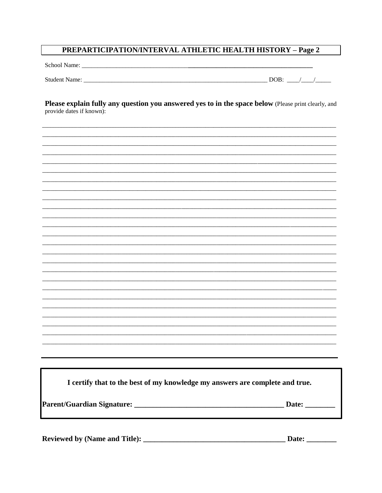### **PREPARTICIPATION/INTERVAL ATHLETIC HEALTH HISTORY - Page 2**

 $\overline{\phantom{a}}$ 

Please explain fully any question you answered yes to in the space below (Please print clearly, and provide dates if known):

| I certify that to the best of my knowledge my answers are complete and true. |                       |
|------------------------------------------------------------------------------|-----------------------|
|                                                                              |                       |
|                                                                              | Date: $\qquad \qquad$ |
|                                                                              |                       |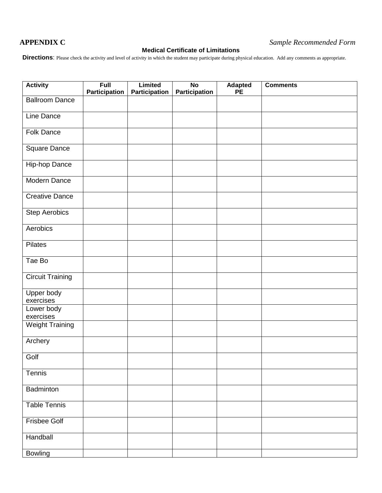### **Medical Certificate of Limitations**

**Directions**: Please check the activity and level of activity in which the student may participate during physical education. Add any comments as appropriate.

| <b>Activity</b>         | Full<br><b>Participation</b> | <b>Limited</b><br><b>Participation</b> | $\overline{N}$       | <b>Adapted</b><br><b>PE</b> | <b>Comments</b> |
|-------------------------|------------------------------|----------------------------------------|----------------------|-----------------------------|-----------------|
| <b>Ballroom Dance</b>   |                              |                                        | <b>Participation</b> |                             |                 |
| Line Dance              |                              |                                        |                      |                             |                 |
| <b>Folk Dance</b>       |                              |                                        |                      |                             |                 |
|                         |                              |                                        |                      |                             |                 |
| Square Dance            |                              |                                        |                      |                             |                 |
| Hip-hop Dance           |                              |                                        |                      |                             |                 |
| Modern Dance            |                              |                                        |                      |                             |                 |
| <b>Creative Dance</b>   |                              |                                        |                      |                             |                 |
| <b>Step Aerobics</b>    |                              |                                        |                      |                             |                 |
| Aerobics                |                              |                                        |                      |                             |                 |
| Pilates                 |                              |                                        |                      |                             |                 |
| Tae Bo                  |                              |                                        |                      |                             |                 |
| <b>Circuit Training</b> |                              |                                        |                      |                             |                 |
| Upper body<br>exercises |                              |                                        |                      |                             |                 |
| Lower body<br>exercises |                              |                                        |                      |                             |                 |
| <b>Weight Training</b>  |                              |                                        |                      |                             |                 |
| Archery                 |                              |                                        |                      |                             |                 |
| Golf                    |                              |                                        |                      |                             |                 |
| Tennis                  |                              |                                        |                      |                             |                 |
| Badminton               |                              |                                        |                      |                             |                 |
| <b>Table Tennis</b>     |                              |                                        |                      |                             |                 |
|                         |                              |                                        |                      |                             |                 |
| <b>Frisbee Golf</b>     |                              |                                        |                      |                             |                 |
| Handball                |                              |                                        |                      |                             |                 |
| Bowling                 |                              |                                        |                      |                             |                 |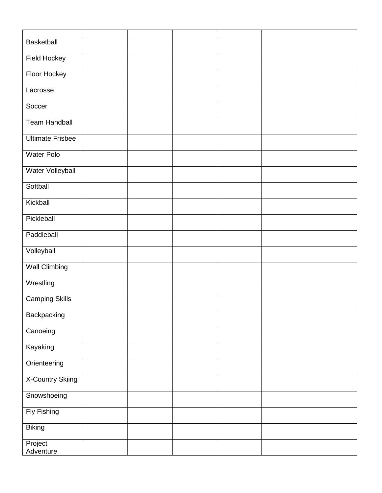| <b>Basketball</b>       |  |  |  |
|-------------------------|--|--|--|
| <b>Field Hockey</b>     |  |  |  |
| Floor Hockey            |  |  |  |
| Lacrosse                |  |  |  |
| Soccer                  |  |  |  |
| <b>Team Handball</b>    |  |  |  |
| <b>Ultimate Frisbee</b> |  |  |  |
| <b>Water Polo</b>       |  |  |  |
| Water Volleyball        |  |  |  |
| Softball                |  |  |  |
| Kickball                |  |  |  |
| Pickleball              |  |  |  |
| Paddleball              |  |  |  |
| Volleyball              |  |  |  |
| <b>Wall Climbing</b>    |  |  |  |
| Wrestling               |  |  |  |
| <b>Camping Skills</b>   |  |  |  |
| Backpacking             |  |  |  |
| Canoeing                |  |  |  |
| Kayaking                |  |  |  |
| Orienteering            |  |  |  |
| <b>X-Country Skiing</b> |  |  |  |
| Snowshoeing             |  |  |  |
| <b>Fly Fishing</b>      |  |  |  |
| <b>Biking</b>           |  |  |  |
| Project<br>Adventure    |  |  |  |